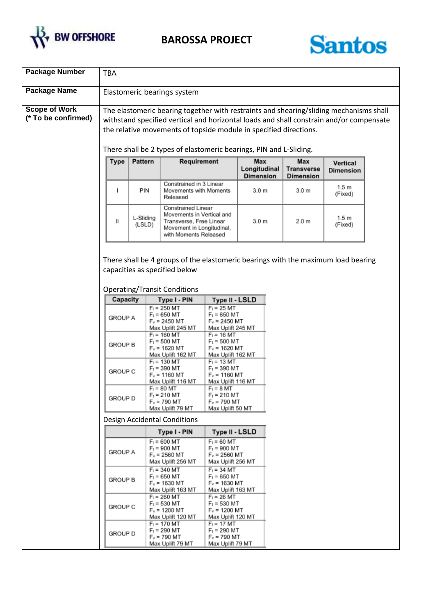



| <b>Package Number</b>                       | <b>TBA</b>                                                                                                                                                                                                                                                                                                                   |                     |                                                                                                                                  |                                                                         |                                         |                                                                                   |                              |  |
|---------------------------------------------|------------------------------------------------------------------------------------------------------------------------------------------------------------------------------------------------------------------------------------------------------------------------------------------------------------------------------|---------------------|----------------------------------------------------------------------------------------------------------------------------------|-------------------------------------------------------------------------|-----------------------------------------|-----------------------------------------------------------------------------------|------------------------------|--|
| <b>Package Name</b>                         |                                                                                                                                                                                                                                                                                                                              |                     | Elastomeric bearings system                                                                                                      |                                                                         |                                         |                                                                                   |                              |  |
| <b>Scope of Work</b><br>(* To be confirmed) | The elastomeric bearing together with restraints and shearing/sliding mechanisms shall<br>withstand specified vertical and horizontal loads and shall constrain and/or compensate<br>the relative movements of topside module in specified directions.<br>There shall be 2 types of elastomeric bearings, PIN and L-Sliding. |                     |                                                                                                                                  |                                                                         |                                         |                                                                                   |                              |  |
|                                             | <b>Type</b>                                                                                                                                                                                                                                                                                                                  | Pattern             | Requirement                                                                                                                      |                                                                         | Max<br>Longitudinal<br><b>Dimension</b> | Max<br>Transverse<br><b>Dimension</b>                                             | Vertical<br><b>Dimension</b> |  |
|                                             |                                                                                                                                                                                                                                                                                                                              | PIN                 | Constrained in 3 Linear<br>Movements with Moments<br>Released                                                                    |                                                                         | 3.0 <sub>m</sub>                        | 3.0 <sub>m</sub>                                                                  | 1.5 <sub>m</sub><br>(Fixed)  |  |
|                                             | Ш                                                                                                                                                                                                                                                                                                                            | L-Sliding<br>(LSLD) | Constrained Linear<br>Movements in Vertical and<br>Transverse, Free Linear<br>Movement in Longitudinal,<br>with Moments Released |                                                                         | 3.0 <sub>m</sub>                        | 2.0 m                                                                             | 1.5 <sub>m</sub><br>(Fixed)  |  |
|                                             |                                                                                                                                                                                                                                                                                                                              |                     | capacities as specified below<br><b>Operating/Transit Conditions</b>                                                             |                                                                         |                                         | There shall be 4 groups of the elastomeric bearings with the maximum load bearing |                              |  |
|                                             | Capacity                                                                                                                                                                                                                                                                                                                     |                     | Type I - PIN                                                                                                                     | <b>Type II - LSLD</b>                                                   |                                         |                                                                                   |                              |  |
|                                             | <b>GROUP A</b>                                                                                                                                                                                                                                                                                                               |                     | $F_1 = 250$ MT<br>$F_t = 650$ MT<br>$F_v = 2450$ MT<br>Max Uplift 245 MT                                                         | $F_1 = 25$ MT<br>$F_t = 650$ MT<br>$F_v = 2450$ MT<br>Max Uplift 245 MT |                                         |                                                                                   |                              |  |
|                                             | GROUP B                                                                                                                                                                                                                                                                                                                      |                     | $F_1 = 160$ MT<br>$F_t = 500$ MT<br>$F_v$ = 1620 MT<br>Max Uplift 162 MT                                                         | $F_1 = 16$ MT<br>$F_t = 500$ MT<br>$F_v = 1620$ MT<br>Max Uplift 162 MT |                                         |                                                                                   |                              |  |
|                                             | GROUP C                                                                                                                                                                                                                                                                                                                      |                     | $F_1 = 130$ MT<br>$F_t = 390$ MT<br>$F_v$ = 1160 MT<br>Max Uplift 116 MT                                                         | $F_1 = 13$ MT<br>$F_t = 390$ MT<br>$F_v = 1160$ MT<br>Max Uplift 116 MT |                                         |                                                                                   |                              |  |
|                                             | <b>GROUP D</b>                                                                                                                                                                                                                                                                                                               |                     | $F_1 = 80$ MT<br>$F_t = 210$ MT<br>$F_v = 790$ MT<br>Max Uplift 79 MT                                                            | $F_1 = 8$ MT<br>$F_t = 210$ MT<br>$F_v = 790$ MT<br>Max Uplift 50 MT    |                                         |                                                                                   |                              |  |
|                                             | <b>Design Accidental Conditions</b>                                                                                                                                                                                                                                                                                          |                     |                                                                                                                                  |                                                                         |                                         |                                                                                   |                              |  |
|                                             |                                                                                                                                                                                                                                                                                                                              |                     | Type I - PIN                                                                                                                     | Type II - LSLD                                                          |                                         |                                                                                   |                              |  |
|                                             | <b>GROUP A</b>                                                                                                                                                                                                                                                                                                               |                     | $F_1 = 600$ MT<br>$F_t = 900$ MT<br>$F_v = 2560$ MT<br>Max Uplift 256 MT                                                         | $F_1 = 60$ MT<br>$F_t = 900$ MT<br>$F_v = 2560$ MT<br>Max Uplift 256 MT |                                         |                                                                                   |                              |  |
|                                             | <b>GROUP B</b>                                                                                                                                                                                                                                                                                                               |                     | $F_1 = 340$ MT<br>$F_t = 650$ MT<br>$F_v = 1630$ MT<br>Max Uplift 163 MT                                                         | $F_1 = 34$ MT<br>$F_t = 650$ MT<br>$F_v = 1630$ MT<br>Max Uplift 163 MT |                                         |                                                                                   |                              |  |
|                                             | GROUP C                                                                                                                                                                                                                                                                                                                      |                     | $F_1 = 260$ MT<br>$F_t = 530$ MT<br>$F_v$ = 1200 MT<br>Max Uplift 120 MT                                                         | $F_1 = 26$ MT<br>$F_t = 530$ MT<br>$F_v = 1200$ MT<br>Max Uplift 120 MT |                                         |                                                                                   |                              |  |
|                                             | GROUP D                                                                                                                                                                                                                                                                                                                      |                     | $F_1 = 170$ MT<br>$F_t = 290$ MT<br>$F_v = 790$ MT<br>Max Uplift 79 MT                                                           | $F_1 = 17$ MT<br>$F_t = 290$ MT<br>$F_v = 790$ MT<br>Max Uplift 79 MT   |                                         |                                                                                   |                              |  |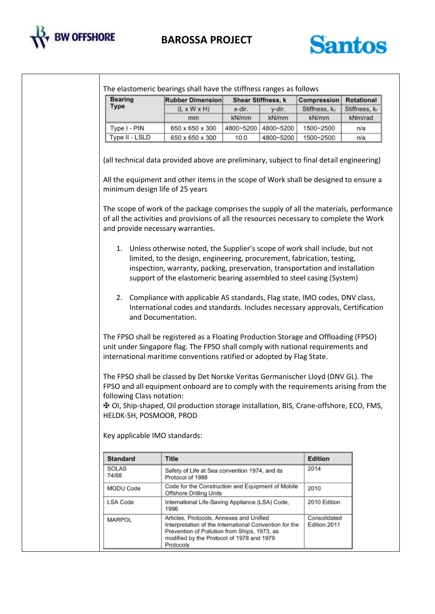



| <b>Bearing</b>                                                                          | <b>Rubber Dimension</b>                                                                                                                                                                                                                                                                                                                                                                                                                                                                                                                                                                                                                                                                                                                                                                                                                                                                                                                                                                                                                                                                                                                                                                                                                                                                                                                                        |           | Shear Stiffness, k | Compression    | Rotational    |
|-----------------------------------------------------------------------------------------|----------------------------------------------------------------------------------------------------------------------------------------------------------------------------------------------------------------------------------------------------------------------------------------------------------------------------------------------------------------------------------------------------------------------------------------------------------------------------------------------------------------------------------------------------------------------------------------------------------------------------------------------------------------------------------------------------------------------------------------------------------------------------------------------------------------------------------------------------------------------------------------------------------------------------------------------------------------------------------------------------------------------------------------------------------------------------------------------------------------------------------------------------------------------------------------------------------------------------------------------------------------------------------------------------------------------------------------------------------------|-----------|--------------------|----------------|---------------|
| Type                                                                                    | $(L \times W \times H)$                                                                                                                                                                                                                                                                                                                                                                                                                                                                                                                                                                                                                                                                                                                                                                                                                                                                                                                                                                                                                                                                                                                                                                                                                                                                                                                                        | x-dir.    | y-dir.             | Stiffness, kv  | Stiffness, kr |
|                                                                                         | mm                                                                                                                                                                                                                                                                                                                                                                                                                                                                                                                                                                                                                                                                                                                                                                                                                                                                                                                                                                                                                                                                                                                                                                                                                                                                                                                                                             | kN/mm     | kN/mm              | kN/mm          | kNm/rad       |
| Type I - PIN                                                                            | 650 x 650 x 300                                                                                                                                                                                                                                                                                                                                                                                                                                                                                                                                                                                                                                                                                                                                                                                                                                                                                                                                                                                                                                                                                                                                                                                                                                                                                                                                                | 4800~5200 | 4800~5200          | 1500~2500      | n/a           |
| Type II - LSLD                                                                          | 650 x 650 x 300                                                                                                                                                                                                                                                                                                                                                                                                                                                                                                                                                                                                                                                                                                                                                                                                                                                                                                                                                                                                                                                                                                                                                                                                                                                                                                                                                | 10.0      | 4800~5200          | 1500~2500      | n/a           |
| minimum design life of 25 years<br>following Class notation:<br>HELDK-SH, POSMOOR, PROD | All the equipment and other items in the scope of Work shall be designed to ensure a<br>The scope of work of the package comprises the supply of all the materials, performance<br>of all the activities and provisions of all the resources necessary to complete the Work<br>and provide necessary warranties.<br>1. Unless otherwise noted, the Supplier's scope of work shall include, but not<br>limited, to the design, engineering, procurement, fabrication, testing,<br>inspection, warranty, packing, preservation, transportation and installation<br>support of the elastomeric bearing assembled to steel casing (System)<br>2. Compliance with applicable AS standards, Flag state, IMO codes, DNV class,<br>International codes and standards. Includes necessary approvals, Certification<br>and Documentation.<br>The FPSO shall be registered as a Floating Production Storage and Offloading (FPSO)<br>unit under Singapore flag. The FPSO shall comply with national requirements and<br>international maritime conventions ratified or adopted by Flag State.<br>The FPSO shall be classed by Det Norske Veritas Germanischer Lloyd (DNV GL). The<br>FPSO and all equipment onboard are to comply with the requirements arising from the<br><b>H</b> OI, Ship-shaped, Oil production storage installation, BIS, Crane-offshore, ECO, FMS, |           |                    |                |               |
| Key applicable IMO standards:<br><b>Standard</b>                                        | <b>Title</b>                                                                                                                                                                                                                                                                                                                                                                                                                                                                                                                                                                                                                                                                                                                                                                                                                                                                                                                                                                                                                                                                                                                                                                                                                                                                                                                                                   |           |                    | <b>Edition</b> |               |
| SOLAS                                                                                   |                                                                                                                                                                                                                                                                                                                                                                                                                                                                                                                                                                                                                                                                                                                                                                                                                                                                                                                                                                                                                                                                                                                                                                                                                                                                                                                                                                |           |                    | 2014           |               |
| 74/88                                                                                   | Safety of Life at Sea convention 1974, and its<br>Protocol of 1988                                                                                                                                                                                                                                                                                                                                                                                                                                                                                                                                                                                                                                                                                                                                                                                                                                                                                                                                                                                                                                                                                                                                                                                                                                                                                             |           |                    |                |               |
| MODU Code                                                                               | Code for the Construction and Equipment of Mobile<br>Offshore Drilling Units                                                                                                                                                                                                                                                                                                                                                                                                                                                                                                                                                                                                                                                                                                                                                                                                                                                                                                                                                                                                                                                                                                                                                                                                                                                                                   |           |                    | 2010           |               |
|                                                                                         |                                                                                                                                                                                                                                                                                                                                                                                                                                                                                                                                                                                                                                                                                                                                                                                                                                                                                                                                                                                                                                                                                                                                                                                                                                                                                                                                                                |           |                    | 2010 Edition   |               |
| LSA Code                                                                                | International Life-Saving Appliance (LSA) Code,<br>1996<br>Articles, Protocols, Annexes and Unified                                                                                                                                                                                                                                                                                                                                                                                                                                                                                                                                                                                                                                                                                                                                                                                                                                                                                                                                                                                                                                                                                                                                                                                                                                                            |           |                    |                |               |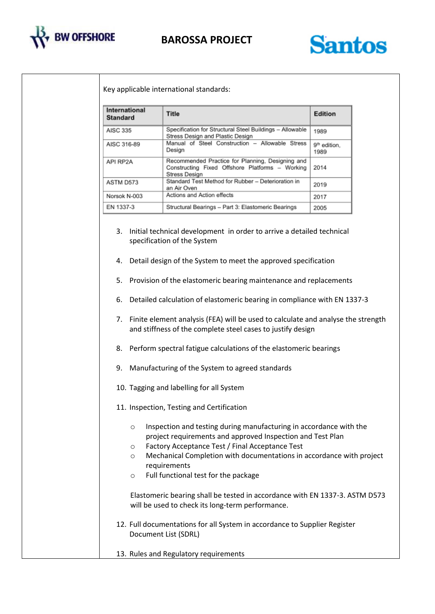



Key applicable international standards:

| International<br><b>Standard</b> | Title                                                                                                                | Edition                          |
|----------------------------------|----------------------------------------------------------------------------------------------------------------------|----------------------------------|
| <b>AISC 335</b>                  | Specification for Structural Steel Buildings - Allowable<br>Stress Design and Plastic Design                         | 1989                             |
| AISC 316-89                      | Manual of Steel Construction - Allowable Stress<br>Design                                                            | 9 <sup>th</sup> edition,<br>1989 |
| API RP2A                         | Recommended Practice for Planning, Designing and<br>Constructing Fixed Offshore Platforms - Working<br>Stress Design | 2014                             |
| ASTM D573                        | Standard Test Method for Rubber - Deterioration in<br>an Air Oven                                                    | 2019                             |
| Norsok N-003                     | Actions and Action effects                                                                                           | 2017                             |
| EN 1337-3                        | Structural Bearings - Part 3: Elastomeric Bearings                                                                   | 2005                             |

- 3. Initial technical development in order to arrive a detailed technical specification of the System
- 4. Detail design of the System to meet the approved specification
- 5. Provision of the elastomeric bearing maintenance and replacements
- 6. Detailed calculation of elastomeric bearing in compliance with EN 1337-3
- 7. Finite element analysis (FEA) will be used to calculate and analyse the strength and stiffness of the complete steel cases to justify design
- 8. Perform spectral fatigue calculations of the elastomeric bearings
- 9. Manufacturing of the System to agreed standards
- 10. Tagging and labelling for all System
- 11. Inspection, Testing and Certification
	- o Inspection and testing during manufacturing in accordance with the project requirements and approved Inspection and Test Plan
	- o Factory Acceptance Test / Final Acceptance Test
	- o Mechanical Completion with documentations in accordance with project requirements
	- o Full functional test for the package

Elastomeric bearing shall be tested in accordance with EN 1337-3. ASTM D573 will be used to check its long-term performance.

- 12. Full documentations for all System in accordance to Supplier Register Document List (SDRL)
- 13. Rules and Regulatory requirements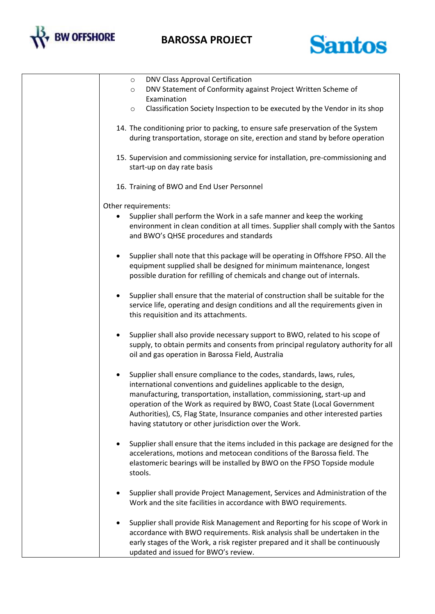



| DNV Class Approval Certification<br>$\circ$                                                                                                                                                                                                                                                                                                                                                                                                    |
|------------------------------------------------------------------------------------------------------------------------------------------------------------------------------------------------------------------------------------------------------------------------------------------------------------------------------------------------------------------------------------------------------------------------------------------------|
| DNV Statement of Conformity against Project Written Scheme of<br>$\circ$                                                                                                                                                                                                                                                                                                                                                                       |
| Examination<br>Classification Society Inspection to be executed by the Vendor in its shop<br>$\circ$                                                                                                                                                                                                                                                                                                                                           |
|                                                                                                                                                                                                                                                                                                                                                                                                                                                |
| 14. The conditioning prior to packing, to ensure safe preservation of the System<br>during transportation, storage on site, erection and stand by before operation                                                                                                                                                                                                                                                                             |
| 15. Supervision and commissioning service for installation, pre-commissioning and<br>start-up on day rate basis                                                                                                                                                                                                                                                                                                                                |
| 16. Training of BWO and End User Personnel                                                                                                                                                                                                                                                                                                                                                                                                     |
| Other requirements:                                                                                                                                                                                                                                                                                                                                                                                                                            |
| Supplier shall perform the Work in a safe manner and keep the working<br>environment in clean condition at all times. Supplier shall comply with the Santos<br>and BWO's QHSE procedures and standards                                                                                                                                                                                                                                         |
| Supplier shall note that this package will be operating in Offshore FPSO. All the<br>equipment supplied shall be designed for minimum maintenance, longest<br>possible duration for refilling of chemicals and change out of internals.                                                                                                                                                                                                        |
| Supplier shall ensure that the material of construction shall be suitable for the<br>service life, operating and design conditions and all the requirements given in<br>this requisition and its attachments.                                                                                                                                                                                                                                  |
| Supplier shall also provide necessary support to BWO, related to his scope of<br>supply, to obtain permits and consents from principal regulatory authority for all<br>oil and gas operation in Barossa Field, Australia                                                                                                                                                                                                                       |
| Supplier shall ensure compliance to the codes, standards, laws, rules,<br>international conventions and guidelines applicable to the design,<br>manufacturing, transportation, installation, commissioning, start-up and<br>operation of the Work as required by BWO, Coast State (Local Government<br>Authorities), CS, Flag State, Insurance companies and other interested parties<br>having statutory or other jurisdiction over the Work. |
| Supplier shall ensure that the items included in this package are designed for the<br>accelerations, motions and metocean conditions of the Barossa field. The<br>elastomeric bearings will be installed by BWO on the FPSO Topside module<br>stools.                                                                                                                                                                                          |
| Supplier shall provide Project Management, Services and Administration of the<br>Work and the site facilities in accordance with BWO requirements.                                                                                                                                                                                                                                                                                             |
| Supplier shall provide Risk Management and Reporting for his scope of Work in<br>accordance with BWO requirements. Risk analysis shall be undertaken in the<br>early stages of the Work, a risk register prepared and it shall be continuously<br>updated and issued for BWO's review.                                                                                                                                                         |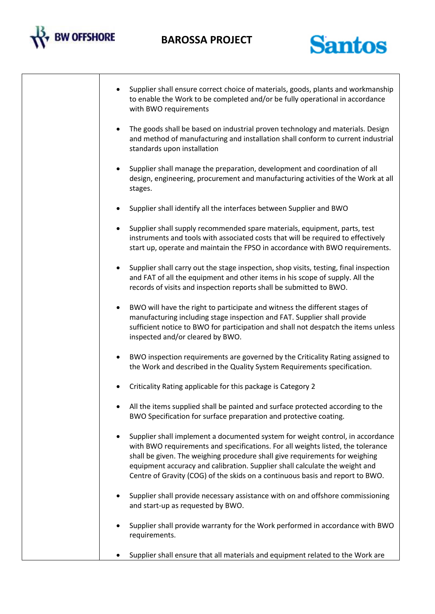



|           | Supplier shall ensure correct choice of materials, goods, plants and workmanship<br>to enable the Work to be completed and/or be fully operational in accordance<br>with BWO requirements                                                                                                                                                                                                                        |
|-----------|------------------------------------------------------------------------------------------------------------------------------------------------------------------------------------------------------------------------------------------------------------------------------------------------------------------------------------------------------------------------------------------------------------------|
| $\bullet$ | The goods shall be based on industrial proven technology and materials. Design<br>and method of manufacturing and installation shall conform to current industrial<br>standards upon installation                                                                                                                                                                                                                |
| $\bullet$ | Supplier shall manage the preparation, development and coordination of all<br>design, engineering, procurement and manufacturing activities of the Work at all<br>stages.                                                                                                                                                                                                                                        |
|           | Supplier shall identify all the interfaces between Supplier and BWO                                                                                                                                                                                                                                                                                                                                              |
|           | Supplier shall supply recommended spare materials, equipment, parts, test<br>instruments and tools with associated costs that will be required to effectively<br>start up, operate and maintain the FPSO in accordance with BWO requirements.                                                                                                                                                                    |
| $\bullet$ | Supplier shall carry out the stage inspection, shop visits, testing, final inspection<br>and FAT of all the equipment and other items in his scope of supply. All the<br>records of visits and inspection reports shall be submitted to BWO.                                                                                                                                                                     |
| $\bullet$ | BWO will have the right to participate and witness the different stages of<br>manufacturing including stage inspection and FAT. Supplier shall provide<br>sufficient notice to BWO for participation and shall not despatch the items unless<br>inspected and/or cleared by BWO.                                                                                                                                 |
|           | BWO inspection requirements are governed by the Criticality Rating assigned to<br>the Work and described in the Quality System Requirements specification.                                                                                                                                                                                                                                                       |
|           | Criticality Rating applicable for this package is Category 2                                                                                                                                                                                                                                                                                                                                                     |
|           | All the items supplied shall be painted and surface protected according to the<br>BWO Specification for surface preparation and protective coating.                                                                                                                                                                                                                                                              |
|           | Supplier shall implement a documented system for weight control, in accordance<br>with BWO requirements and specifications. For all weights listed, the tolerance<br>shall be given. The weighing procedure shall give requirements for weighing<br>equipment accuracy and calibration. Supplier shall calculate the weight and<br>Centre of Gravity (COG) of the skids on a continuous basis and report to BWO. |
|           | Supplier shall provide necessary assistance with on and offshore commissioning<br>and start-up as requested by BWO.                                                                                                                                                                                                                                                                                              |
|           | Supplier shall provide warranty for the Work performed in accordance with BWO<br>requirements.                                                                                                                                                                                                                                                                                                                   |
|           | Supplier shall ensure that all materials and equipment related to the Work are                                                                                                                                                                                                                                                                                                                                   |